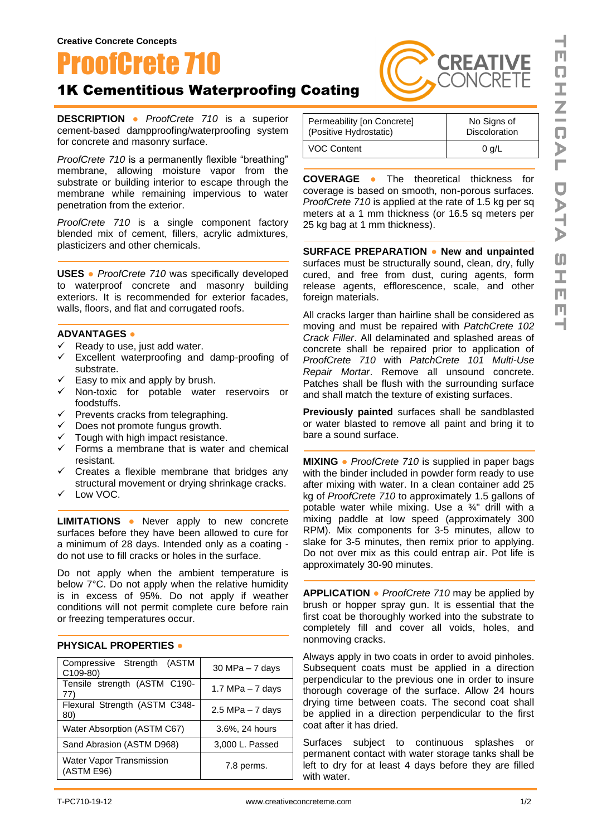

## 1K Cementitious Waterproofing Coating

**DESCRIPTION ●** *ProofCrete 710* is a superior cement-based dampproofing/waterproofing system for concrete and masonry surface.

*ProofCrete 710* is a permanently flexible "breathing" membrane, allowing moisture vapor from the substrate or building interior to escape through the membrane while remaining impervious to water penetration from the exterior.

*ProofCrete 710* is a single component factory blended mix of cement, fillers, acrylic admixtures, plasticizers and other chemicals.

**USES ●** *ProofCrete 710* was specifically developed to waterproof concrete and masonry building exteriors. It is recommended for exterior facades, walls, floors, and flat and corrugated roofs.

## **ADVANTAGES ●**

- $\checkmark$  Ready to use, just add water.
- ✓ Excellent waterproofing and damp-proofing of substrate.
- $\checkmark$  Easy to mix and apply by brush.
- ✓ Non-toxic for potable water reservoirs or foodstuffs.
- $\checkmark$  Prevents cracks from telegraphing.
- $\checkmark$  Does not promote fungus growth.
- $\checkmark$  Tough with high impact resistance.
- $\checkmark$  Forms a membrane that is water and chemical resistant.
- $\checkmark$  Creates a flexible membrane that bridges any structural movement or drying shrinkage cracks.
- ✓ Low VOC.

**LIMITATIONS ●** Never apply to new concrete surfaces before they have been allowed to cure for a minimum of 28 days. Intended only as a coating do not use to fill cracks or holes in the surface.

Do not apply when the ambient temperature is below 7°C. Do not apply when the relative humidity is in excess of 95%. Do not apply if weather conditions will not permit complete cure before rain or freezing temperatures occur.

## **PHYSICAL PROPERTIES ●**

| Compressive Strength (ASTM<br>C109-80) | $30$ MPa $-7$ days  |
|----------------------------------------|---------------------|
| Tensile strength (ASTM C190-<br>77)    | 1.7 MPa $-$ 7 days  |
| Flexural Strength (ASTM C348-<br>80)   | $2.5$ MPa $-7$ days |
| Water Absorption (ASTM C67)            | 3.6%, 24 hours      |
| Sand Abrasion (ASTM D968)              | 3,000 L. Passed     |
| Water Vapor Transmission<br>(ASTM E96) | 7.8 perms.          |

| Permeability [on Concrete] | No Signs of          |
|----------------------------|----------------------|
| (Positive Hydrostatic)     | <b>Discoloration</b> |
| <b>VOC Content</b>         | 0 q/L                |

**COVERAGE ●** The theoretical thickness for coverage is based on smooth, non-porous surfaces*. ProofCrete 710* is applied at the rate of 1.5 kg per sq meters at a 1 mm thickness (or 16.5 sq meters per 25 kg bag at 1 mm thickness).

**SURFACE PREPARATION ● New and unpainted**  surfaces must be structurally sound, clean, dry, fully cured, and free from dust, curing agents, form release agents, efflorescence, scale, and other foreign materials.

All cracks larger than hairline shall be considered as moving and must be repaired with *PatchCrete 102 Crack Filler*. All delaminated and splashed areas of concrete shall be repaired prior to application of *ProofCrete 710* with *PatchCrete 101 Multi-Use Repair Mortar*. Remove all unsound concrete. Patches shall be flush with the surrounding surface and shall match the texture of existing surfaces.

**Previously painted** surfaces shall be sandblasted or water blasted to remove all paint and bring it to bare a sound surface.

**MIXING ●** *ProofCrete 710* is supplied in paper bags with the binder included in powder form ready to use after mixing with water. In a clean container add 25 kg of *ProofCrete 710* to approximately 1.5 gallons of potable water while mixing. Use a ¾" drill with a mixing paddle at low speed (approximately 300 RPM). Mix components for 3-5 minutes, allow to slake for 3-5 minutes, then remix prior to applying. Do not over mix as this could entrap air. Pot life is approximately 30-90 minutes.

**APPLICATION ●** *ProofCrete 710* may be applied by brush or hopper spray gun. It is essential that the first coat be thoroughly worked into the substrate to completely fill and cover all voids, holes, and nonmoving cracks.

Always apply in two coats in order to avoid pinholes. Subsequent coats must be applied in a direction perpendicular to the previous one in order to insure thorough coverage of the surface. Allow 24 hours drying time between coats. The second coat shall be applied in a direction perpendicular to the first coat after it has dried.

Surfaces subject to continuous splashes or permanent contact with water storage tanks shall be left to dry for at least 4 days before they are filled with water.